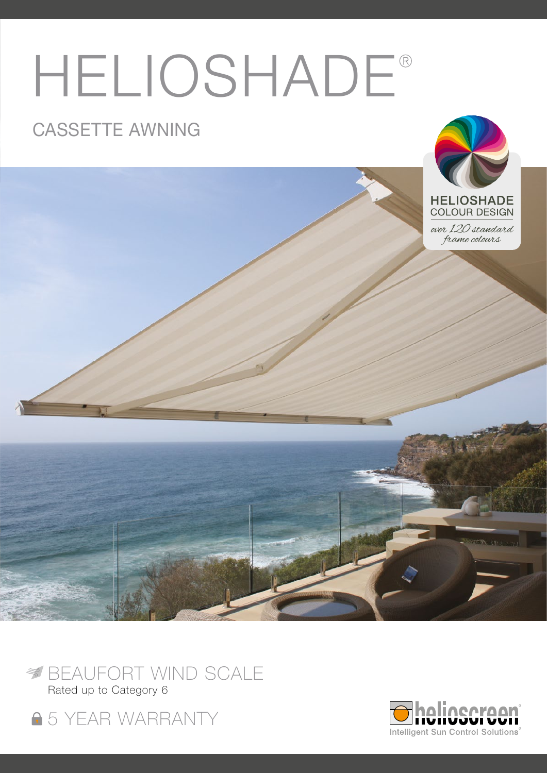# HELIOSHADE®

## CASSETTE AWNING



over 120 standard frame colours





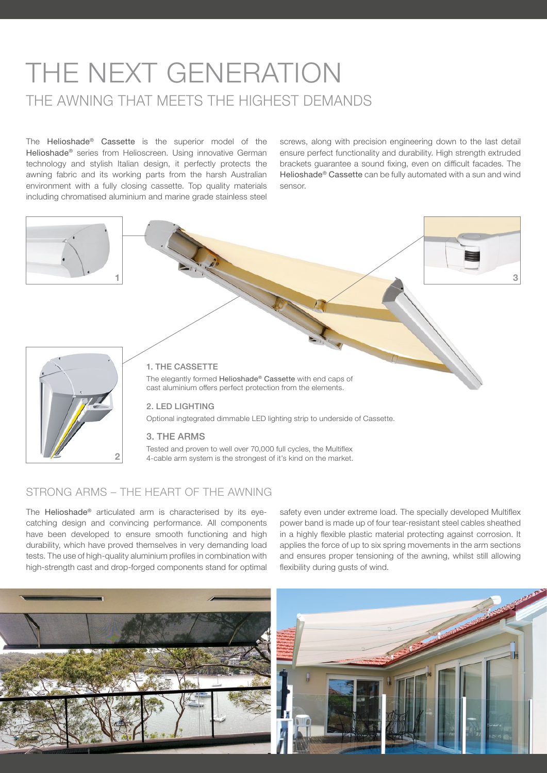## THE NEXT GENERATION THE AWNING THAT MEETS THE HIGHEST DEMANDS

The Helioshade® Cassette is the superior model of the Helioshade® series from Helioscreen. Using innovative German technology and stylish Italian design, it perfectly protects the awning fabric and its working parts from the harsh Australian environment with a fully closing cassette. Top quality materials including chromatised aluminium and marine grade stainless steel

screws, along with precision engineering down to the last detail ensure perfect functionality and durability. High strength extruded brackets guarantee a sound fixing, even on difficult facades. The Helioshade® Cassette can be fully automated with a sun and wind sensor.



Tested and proven to well over 70,000 full cycles, the Multiflex 4-cable arm system is the strongest of it's kind on the market.

### STRONG ARMS – THE HEART OF THE AWNING

2

The Helioshade® articulated arm is characterised by its eyecatching design and convincing performance. All components have been developed to ensure smooth functioning and high durability, which have proved themselves in very demanding load tests. The use of high-quality aluminium profiles in combination with high-strength cast and drop-forged components stand for optimal

safety even under extreme load. The specially developed Multiflex power band is made up of four tear-resistant steel cables sheathed in a highly flexible plastic material protecting against corrosion. It applies the force of up to six spring movements in the arm sections and ensures proper tensioning of the awning, whilst still allowing flexibility during gusts of wind.

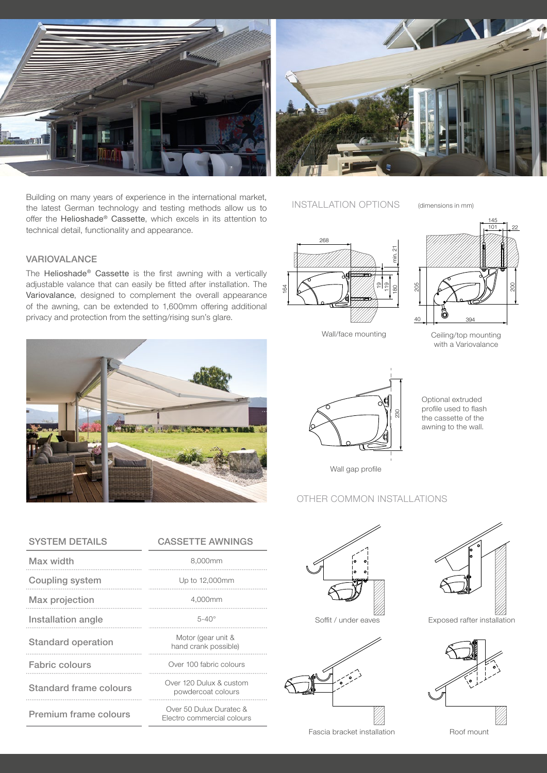

Building on many years of experience in the international market,<br>the latest German technology and testing methods allow us to INSTALLATION OPTIONS the latest German technology and testing methods allow us to offer the Helioshade® Cassette, which excels in its attention to technical detail, functionality and appearance.



(dimensions in mm)

#### VARIOVALANCE

The Helioshade® Cassette is the first awning with a vertically adjustable valance that can easily be fitted after installation. The Variovalance, designed to complement the overall appearance of the awning, can be extended to 1,600mm offering additional privacy and protection from the setting/rising sun's glare.



|     | 268                       |         |
|-----|---------------------------|---------|
|     |                           | min. 21 |
|     |                           |         |
| 164 | 119<br>$\frac{1}{2}$<br>Ē | 8       |
|     |                           |         |



145

with a Variovalance

Optional extruded profile used to flash the cassette of the awning to the wall.



Wall gap profile

### OTHER COMMON INSTALLATIONS

| <b>SYSTEM DETAILS</b>     | <b>CASSETTE AWNINGS</b>                               |
|---------------------------|-------------------------------------------------------|
| Max width                 | 8,000mm                                               |
| Coupling system           | Up to 12,000mm                                        |
| Max projection            | 4,000mm                                               |
| Installation angle        | $5-40^\circ$                                          |
| <b>Standard operation</b> | Motor (gear unit &<br>hand crank possible)            |
| <b>Fabric colours</b>     | Over 100 fabric colours                               |
| Standard frame colours    | Over 120 Dulux & custom<br>powdercoat colours         |
| Premium frame colours     | Over 50 Dulux Duratec &<br>Electro commercial colours |



Soffit / under eaves



V/I.

Exposed rafter installation



Roof mount

Fascia bracket installation